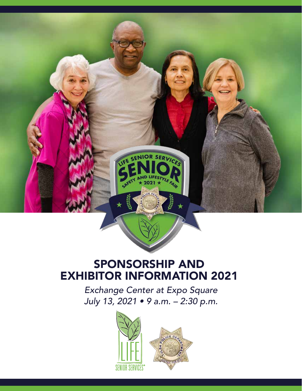

### SPONSORSHIP AND EXHIBITOR INFORMATION 2021

*Exchange Center at Expo Square July 13, 2021 • 9 a.m. – 2:30 p.m.* 

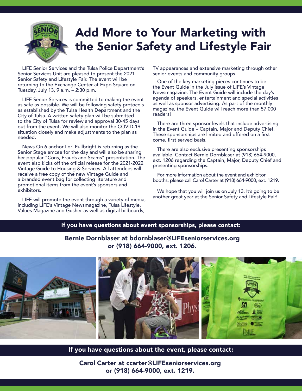

### Add More to Your Marketing with the Senior Safety and Lifestyle Fair

LIFE Senior Services and the Tulsa Police Department's Senior Services Unit are pleased to present the 2021 Senior Safety and Lifestyle Fair. The event will be returning to the Exchange Center at Expo Square on Tuesday, July 13, 9 a.m. – 2:30 p.m.

LIFE Senior Services is committed to making the event as safe as possible. We will be following safety protocols as established by the Tulsa Health Department and the City of Tulsa. A written safety plan will be submitted to the City of Tulsa for review and approval 30-45 days out from the event. We will also monitor the COVID-19 situation closely and make adjustments to the plan as needed.

News On 6 anchor Lori Fullbright is returning as the Senior Stage emcee for the day and will also be sharing her popular "Cons, Frauds and Scams" presentation. The event also kicks off the official release for the 2021-2022 Vintage Guide to Housing & Services. All attendees will receive a free copy of the new Vintage Guide and a branded event bag for collecting literature and promotional items from the event's sponsors and exhibitors.

LIFE will promote the event through a variety of media, including LIFE's Vintage Newsmagazine, Tulsa Lifestyle, Values Magazine and Gusher as well as digital billboards,

TV appearances and extensive marketing through other senior events and community groups.

One of the key marketing pieces continues to be the Event Guide in the July issue of LIFE's Vintage Newsmagazine. The Event Guide will include the day's agenda of speakers, entertainment and special activities as well as sponsor advertising. As part of the monthly magazine, the Event Guide will reach more than 57,000 readers!

There are three sponsor levels that include advertising in the Event Guide – Captain, Major and Deputy Chief. These sponsorships are limited and offered on a first come, first served basis.

There are also exclusive presenting sponsorships available. Contact Bernie Dornblaser at (918) 664-9000, ext. 1206 regarding the Captain, Major, Deputy Chief and presenting sponsorships.

For more information about the event and exhibitor booths, please call Carol Carter at (918) 664-9000, ext. 1219.

We hope that you will join us on July 13. It's going to be another great year at the Senior Safety and Lifestyle Fair!

#### If you have questions about event sponsorships, please contact:

#### Bernie Dornblaser at bdornblaser@LIFEseniorservices.org or (918) 664-9000, ext. 1206.



If you have questions about the event, please contact:

Carol Carter at ccarter@LIFEseniorservices.org or (918) 664-9000, ext. 1219.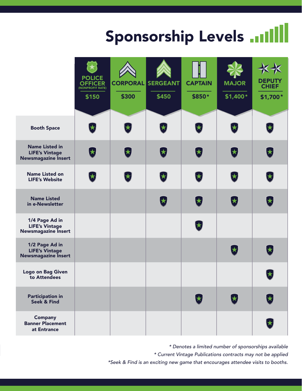# Sponsorship Levels .....

|                                                                              | <b>POLICE</b><br><b>OFFICER</b><br>(NONPROFIT RATE)<br>\$150 | \$300 | <b>CORPORAL SERGEANT</b><br>\$450 | <b>CAPTAIN</b><br>\$850* | <b>MAJOR</b><br>$$1,400*$ | <b>DEPUTY</b><br><b>CHIEF</b><br>\$1,700* |
|------------------------------------------------------------------------------|--------------------------------------------------------------|-------|-----------------------------------|--------------------------|---------------------------|-------------------------------------------|
| <b>Booth Space</b>                                                           |                                                              |       |                                   | ★                        |                           | $\bigstar$                                |
| <b>Name Listed in</b><br><b>LIFE's Vintage</b><br><b>Newsmagazine Insert</b> | $\bigstar$                                                   | 大     | $\bigstar$                        | 大                        | $\mathbf{r}$              | $\bigstar$                                |
| <b>Name Listed on</b><br><b>LIFE's Website</b>                               |                                                              |       | $\bigstar$                        | $\star$                  | 大                         | 大                                         |
| <b>Name Listed</b><br>in e-Newsletter                                        |                                                              |       | $\bigstar$                        | 大                        | $\bigtriangledown$        | 大                                         |
| 1/4 Page Ad in<br><b>LIFE's Vintage</b><br><b>Newsmagazine Insert</b>        |                                                              |       |                                   | ★                        |                           |                                           |
| 1/2 Page Ad in<br><b>LIFE's Vintage</b><br><b>Newsmagazine Insert</b>        |                                                              |       |                                   |                          | $\bigtriangledown$        | $\bigstar$                                |
| <b>Logo on Bag Given</b><br>to Attendees                                     |                                                              |       |                                   |                          |                           | 大                                         |
| <b>Participation in</b><br><b>Seek &amp; Find</b>                            |                                                              |       |                                   |                          | 大                         | $\bigstar$                                |
| <b>Company</b><br><b>Banner Placement</b><br>at Entrance                     |                                                              |       |                                   |                          |                           |                                           |

*\* Denotes a limited number of sponsorships available \* Current Vintage Publications contracts may not be applied \*Seek & Find is an exciting new game that encourages attendee visits to booths.*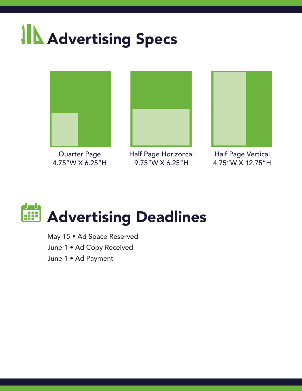# **IN Advertising Specs**



Quarter Page 4.75"W X 6.25"H



Half Page Horizontal 9.75"W X 6.25"H



Half Page Vertical 4.75"W X 12.75"H

### ᠊Ⴎ──Ⴑ Advertising Deadlines æ

May 15 • Ad Space Reserved June 1 • Ad Copy Received June 1 • Ad Payment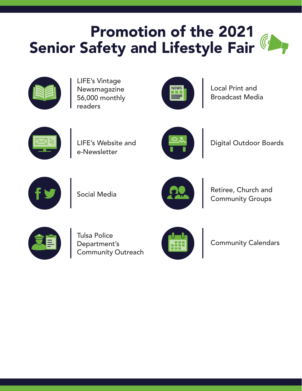## Promotion of the 2021 Senior Safety and Lifestyle Fair



LIFE's Vintage Newsmagazine 56,000 monthly readers



Local Print and Broadcast Media



LIFE's Website and e-Newsletter



Digital Outdoor Boards





Social Media Retiree, Church and Community Groups



Tulsa Police Department's Community Outreach



Community Calendars